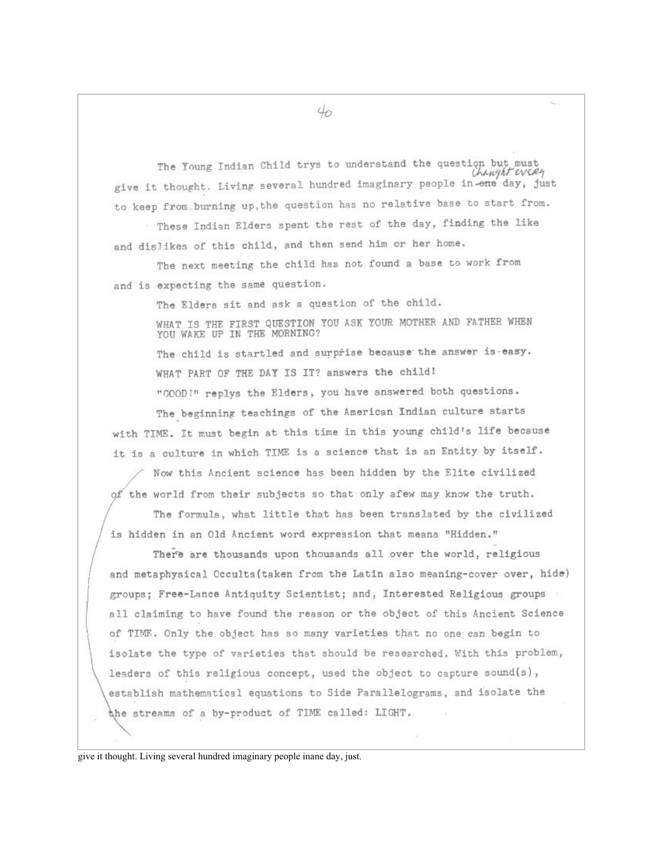The Young Indian Child trys to understand the question but must Changht EVERY give it thought. Living several hundred imaginary people in-ene day, just to keep from burning up, the question has no relative base to start from.

These Indian Elders spent the rest of the day, finding the like and dislikes of this child, and then send him or her home.

The next meeting the child has not found a base to work from and is expecting the same question.

The Elders sit and ask a question of the child.

WHAT IS THE FIRST QUESTION YOU ASK YOUR MOTHER AND FATHER WHEN YOU WAKE UP IN THE MORNING? The child is startled and surprise because the answer is-easy.

WHAT PART OF THE DAY IS IT? answers the child!

"GOOD!" replys the Elders, you have answered both questions.

The beginning teachings of the American Indian culture starts with TIME. It must begin at this time in this young child's life because it is a culture in which TIME is a science that is an Entity by itself.

Now this Ancient science has been hidden by the Elite civilized of the world from their subjects so that only afew may know the truth.

The formula, what little that has been translated by the civilized is hidden in an Old Ancient word expression that means "Hidden."

There are thousands upon thousands all over the world, religious and metaphysical Occults (taken from the Latin also meaning-cover over, hide) groups; Free-Lance Antiquity Scientist; and, Interested Religious groups all claiming to have found the reason or the object of this Ancient Science of TIME. Only the object has so many varieties that no one can begin to isolate the type of varieties that should be researched. With this problem, leaders of this religious concept, used the object to capture sound(s), establish mathematical equations to Side Parallelograms, and isolate the the streams of a by-product of TIME called: LIGHT.

 $40^{\circ}$